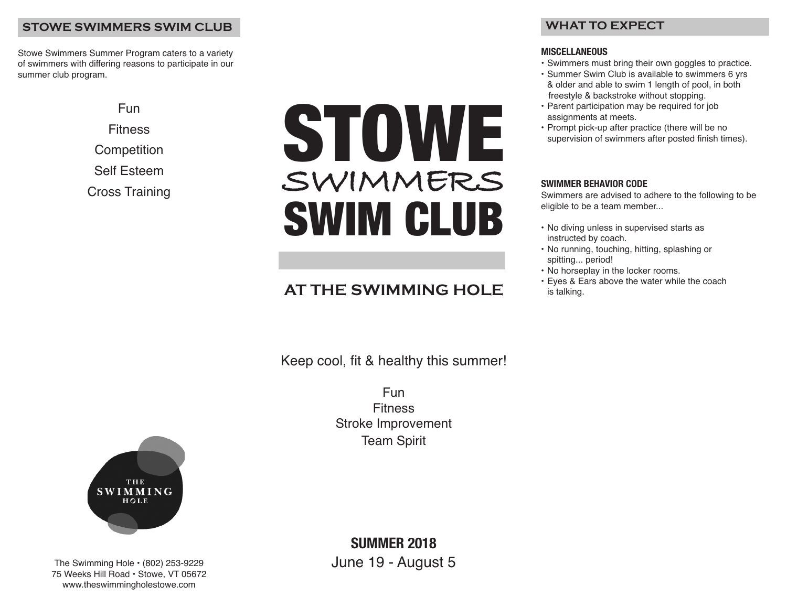## **STOWE SWIMMERS SWIM CLUB**

Stowe Swimmers Summer Program caters to a variety of swimmers with differing reasons to participate in our summer club program.

> Fun **Fitness Competition** Self Esteem Cross Training

# STOWE **SWIMMERS** SWIM CLUB

## **AT THE SWIMMING HOLE**

Keep cool, fit & healthy this summer!

Fun Fitness Stroke Improvement Team Spirit



## **WHAT TO EXPECT**

#### **MISCELLANEOUS**

- Swimmers must bring their own goggles to practice.
- Summer Swim Club is available to swimmers 6 yrs & older and able to swim 1 length of pool, in both freestyle & backstroke without stopping.
- Parent participation may be required for job assignments at meets.
- Prompt pick-up after practice (there will be no supervision of swimmers after posted finish times).

## **SWIMMER BEHAVIOR CODE**

Swimmers are advised to adhere to the following to be eligible to be a team member...

- No diving unless in supervised starts as instructed by coach.
- No running, touching, hitting, splashing or spitting... period!
- No horseplay in the locker rooms.
- Eyes & Ears above the water while the coach is talking.



The Swimming Hole • (802) 253-9229 75 Weeks Hill Road • Stowe, VT 05672 www.theswimmingholestowe.com